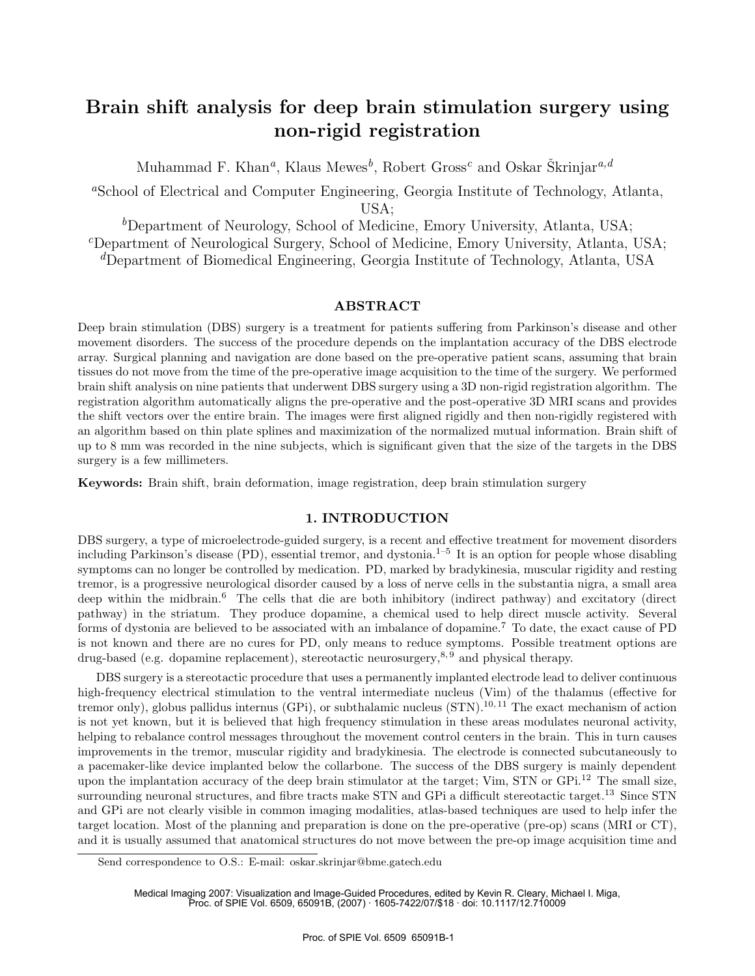# **Brain shift analysis for deep brain stimulation surgery using non-rigid registration**

Muhammad F. Khan<sup>a</sup>, Klaus Mewes<sup>b</sup>, Robert Gross<sup>c</sup> and Oskar Škrinjar<sup>a,d</sup>

<sup>a</sup>School of Electrical and Computer Engineering, Georgia Institute of Technology, Atlanta, USA;

<sup>b</sup>Department of Neurology, School of Medicine, Emory University, Atlanta, USA;  ${}^c$ Department of Neurological Surgery, School of Medicine, Emory University, Atlanta, USA;

<sup>d</sup>Department of Biomedical Engineering, Georgia Institute of Technology, Atlanta, USA

#### **ABSTRACT**

Deep brain stimulation (DBS) surgery is a treatment for patients suffering from Parkinson's disease and other movement disorders. The success of the procedure depends on the implantation accuracy of the DBS electrode array. Surgical planning and navigation are done based on the pre-operative patient scans, assuming that brain tissues do not move from the time of the pre-operative image acquisition to the time of the surgery. We performed brain shift analysis on nine patients that underwent DBS surgery using a 3D non-rigid registration algorithm. The registration algorithm automatically aligns the pre-operative and the post-operative 3D MRI scans and provides the shift vectors over the entire brain. The images were first aligned rigidly and then non-rigidly registered with an algorithm based on thin plate splines and maximization of the normalized mutual information. Brain shift of up to 8 mm was recorded in the nine subjects, which is significant given that the size of the targets in the DBS surgery is a few millimeters.

**Keywords:** Brain shift, brain deformation, image registration, deep brain stimulation surgery

## **1. INTRODUCTION**

DBS surgery, a type of microelectrode-guided surgery, is a recent and effective treatment for movement disorders including Parkinson's disease  $(PD)$ , essential tremor, and dystonia.<sup>1–5</sup> It is an option for people whose disabling symptoms can no longer be controlled by medication. PD, marked by bradykinesia, muscular rigidity and resting tremor, is a progressive neurological disorder caused by a loss of nerve cells in the substantia nigra, a small area deep within the midbrain.<sup>6</sup> The cells that die are both inhibitory (indirect pathway) and excitatory (direct pathway) in the striatum. They produce dopamine, a chemical used to help direct muscle activity. Several forms of dystonia are believed to be associated with an imbalance of dopamine.<sup>7</sup> To date, the exact cause of PD is not known and there are no cures for PD, only means to reduce symptoms. Possible treatment options are drug-based (e.g. dopamine replacement), stereotactic neurosurgery,<sup>8,9</sup> and physical therapy.

DBS surgery is a stereotactic procedure that uses a permanently implanted electrode lead to deliver continuous high-frequency electrical stimulation to the ventral intermediate nucleus (Vim) of the thalamus (effective for tremor only), globus pallidus internus (GPi), or subthalamic nucleus  $(STN)^{10,11}$ . The exact mechanism of action is not yet known, but it is believed that high frequency stimulation in these areas modulates neuronal activity, helping to rebalance control messages throughout the movement control centers in the brain. This in turn causes improvements in the tremor, muscular rigidity and bradykinesia. The electrode is connected subcutaneously to a pacemaker-like device implanted below the collarbone. The success of the DBS surgery is mainly dependent upon the implantation accuracy of the deep brain stimulator at the target; Vim, STN or GPi.<sup>12</sup> The small size, surrounding neuronal structures, and fibre tracts make STN and GPi a difficult stereotactic target.<sup>13</sup> Since STN and GPi are not clearly visible in common imaging modalities, atlas-based techniques are used to help infer the target location. Most of the planning and preparation is done on the pre-operative (pre-op) scans (MRI or CT), and it is usually assumed that anatomical structures do not move between the pre-op image acquisition time and

Send correspondence to O.S.: E-mail: oskar.skrinjar@bme.gatech.edu

Medical Imaging 2007: Visualization and Image-Guided Procedures, edited by Kevin R. Cleary, Michael I. Miga, Proc. of SPIE Vol. 6509, 65091B, (2007) · 1605-7422/07/\$18 · doi: 10.1117/12.710009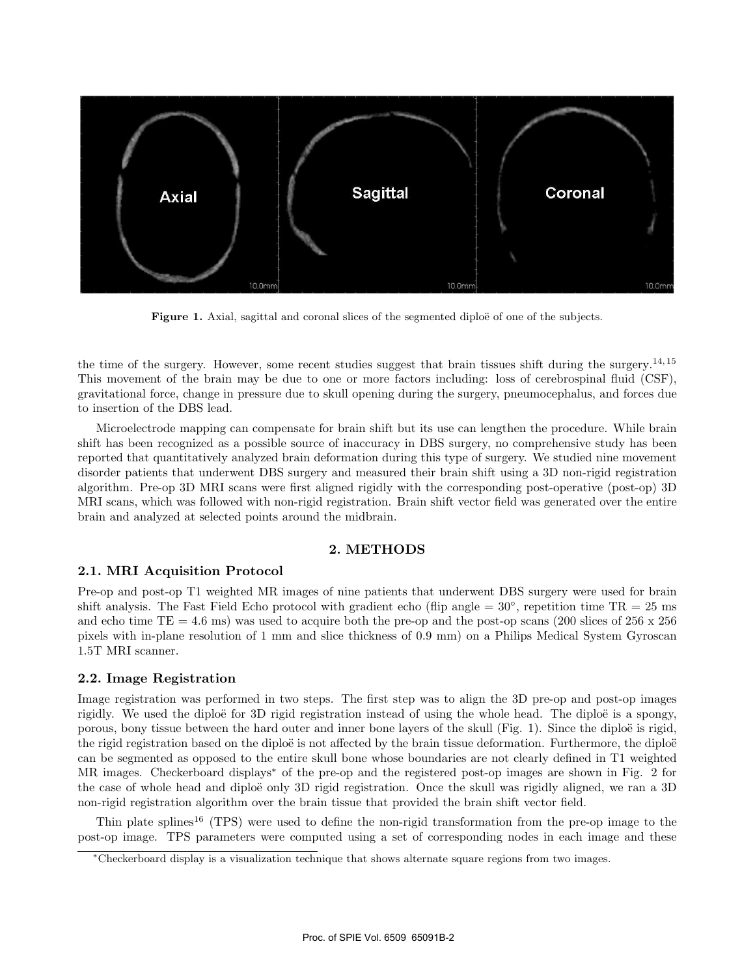

Figure 1. Axial, sagittal and coronal slices of the segmented diploë of one of the subjects.

the time of the surgery. However, some recent studies suggest that brain tissues shift during the surgery.<sup>14, 15</sup> This movement of the brain may be due to one or more factors including: loss of cerebrospinal fluid (CSF), gravitational force, change in pressure due to skull opening during the surgery, pneumocephalus, and forces due to insertion of the DBS lead.

Microelectrode mapping can compensate for brain shift but its use can lengthen the procedure. While brain shift has been recognized as a possible source of inaccuracy in DBS surgery, no comprehensive study has been reported that quantitatively analyzed brain deformation during this type of surgery. We studied nine movement disorder patients that underwent DBS surgery and measured their brain shift using a 3D non-rigid registration algorithm. Pre-op 3D MRI scans were first aligned rigidly with the corresponding post-operative (post-op) 3D MRI scans, which was followed with non-rigid registration. Brain shift vector field was generated over the entire brain and analyzed at selected points around the midbrain.

#### **2. METHODS**

## **2.1. MRI Acquisition Protocol**

Pre-op and post-op T1 weighted MR images of nine patients that underwent DBS surgery were used for brain shift analysis. The Fast Field Echo protocol with gradient echo (flip angle  $= 30^\circ$ , repetition time TR  $= 25$  ms and echo time  $TE = 4.6$  ms) was used to acquire both the pre-op and the post-op scans (200 slices of 256 x 256) pixels with in-plane resolution of 1 mm and slice thickness of 0.9 mm) on a Philips Medical System Gyroscan 1.5T MRI scanner.

#### **2.2. Image Registration**

Image registration was performed in two steps. The first step was to align the 3D pre-op and post-op images rigidly. We used the diploë for 3D rigid registration instead of using the whole head. The diploë is a spongy, porous, bony tissue between the hard outer and inner bone layers of the skull (Fig. 1). Since the diploë is rigid, the rigid registration based on the diploë is not affected by the brain tissue deformation. Furthermore, the diploë can be segmented as opposed to the entire skull bone whose boundaries are not clearly defined in T1 weighted MR images. Checkerboard displays<sup>∗</sup> of the pre-op and the registered post-op images are shown in Fig. 2 for the case of whole head and diploë only 3D rigid registration. Once the skull was rigidly aligned, we ran a 3D non-rigid registration algorithm over the brain tissue that provided the brain shift vector field.

Thin plate splines<sup>16</sup> (TPS) were used to define the non-rigid transformation from the pre-op image to the post-op image. TPS parameters were computed using a set of corresponding nodes in each image and these

<sup>∗</sup>Checkerboard display is a visualization technique that shows alternate square regions from two images.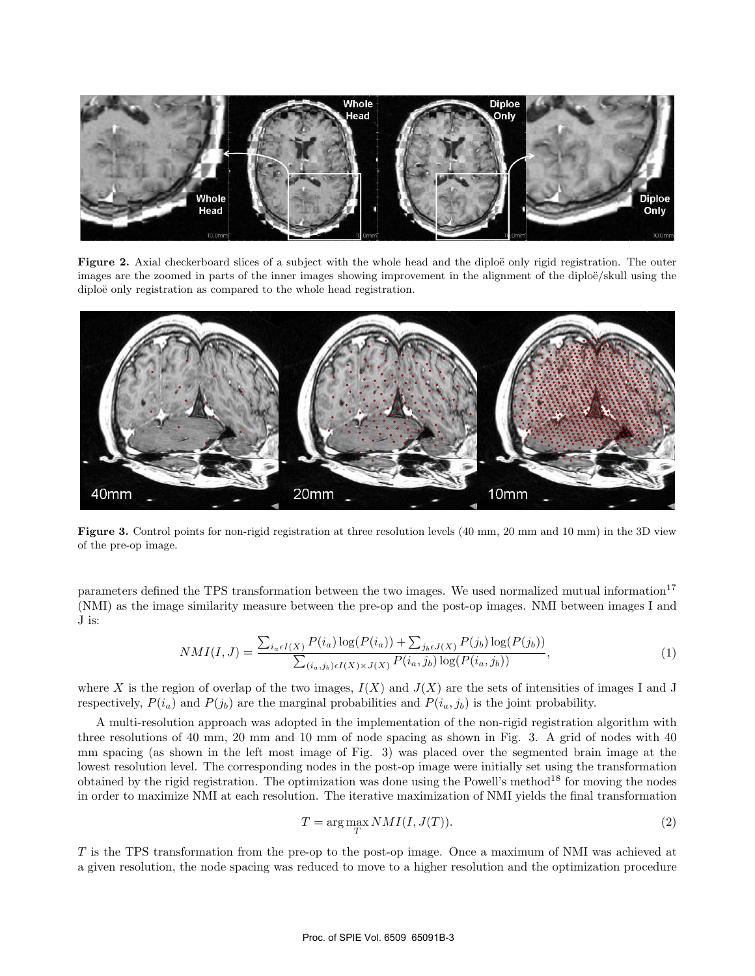

**Figure 2.** Axial checkerboard slices of a subject with the whole head and the diploë only rigid registration. The outer images are the zoomed in parts of the inner images showing improvement in the alignment of the diploë/skull using the diploë only registration as compared to the whole head registration.



**Figure 3.** Control points for non-rigid registration at three resolution levels (40 mm, 20 mm and 10 mm) in the 3D view of the pre-op image.

parameters defined the TPS transformation between the two images. We used normalized mutual information<sup>17</sup> (NMI) as the image similarity measure between the pre-op and the post-op images. NMI between images I and J is:

$$
NMI(I,J) = \frac{\sum_{i_a \in I(X)} P(i_a) \log(P(i_a)) + \sum_{j_b \in J(X)} P(j_b) \log(P(j_b))}{\sum_{(i_a, j_b) \in I(X) \times J(X)} P(i_a, j_b) \log(P(i_a, j_b))},
$$
\n(1)

where X is the region of overlap of the two images,  $I(X)$  and  $J(X)$  are the sets of intensities of images I and J respectively,  $P(i_a)$  and  $P(j_b)$  are the marginal probabilities and  $P(i_a, j_b)$  is the joint probability.

A multi-resolution approach was adopted in the implementation of the non-rigid registration algorithm with three resolutions of 40 mm, 20 mm and 10 mm of node spacing as shown in Fig. 3. A grid of nodes with 40 mm spacing (as shown in the left most image of Fig. 3) was placed over the segmented brain image at the lowest resolution level. The corresponding nodes in the post-op image were initially set using the transformation obtained by the rigid registration. The optimization was done using the Powell's method<sup>18</sup> for moving the nodes in order to maximize NMI at each resolution. The iterative maximization of NMI yields the final transformation

$$
T = \underset{T}{\text{arg max}} NMI(I, J(T)).
$$
\n<sup>(2)</sup>

T is the TPS transformation from the pre-op to the post-op image. Once a maximum of NMI was achieved at a given resolution, the node spacing was reduced to move to a higher resolution and the optimization procedure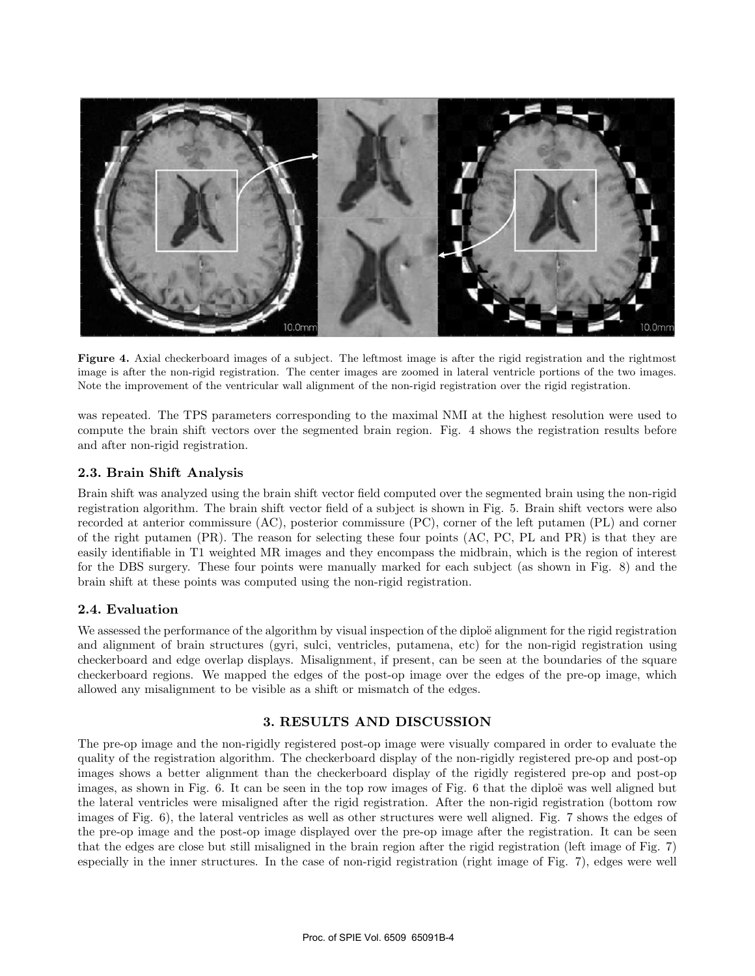

**Figure 4.** Axial checkerboard images of a subject. The leftmost image is after the rigid registration and the rightmost image is after the non-rigid registration. The center images are zoomed in lateral ventricle portions of the two images. Note the improvement of the ventricular wall alignment of the non-rigid registration over the rigid registration.

was repeated. The TPS parameters corresponding to the maximal NMI at the highest resolution were used to compute the brain shift vectors over the segmented brain region. Fig. 4 shows the registration results before and after non-rigid registration.

## **2.3. Brain Shift Analysis**

Brain shift was analyzed using the brain shift vector field computed over the segmented brain using the non-rigid registration algorithm. The brain shift vector field of a subject is shown in Fig. 5. Brain shift vectors were also recorded at anterior commissure (AC), posterior commissure (PC), corner of the left putamen (PL) and corner of the right putamen (PR). The reason for selecting these four points (AC, PC, PL and PR) is that they are easily identifiable in T1 weighted MR images and they encompass the midbrain, which is the region of interest for the DBS surgery. These four points were manually marked for each subject (as shown in Fig. 8) and the brain shift at these points was computed using the non-rigid registration.

## **2.4. Evaluation**

We assessed the performance of the algorithm by visual inspection of the diploë alignment for the rigid registration and alignment of brain structures (gyri, sulci, ventricles, putamena, etc) for the non-rigid registration using checkerboard and edge overlap displays. Misalignment, if present, can be seen at the boundaries of the square checkerboard regions. We mapped the edges of the post-op image over the edges of the pre-op image, which allowed any misalignment to be visible as a shift or mismatch of the edges.

## **3. RESULTS AND DISCUSSION**

The pre-op image and the non-rigidly registered post-op image were visually compared in order to evaluate the quality of the registration algorithm. The checkerboard display of the non-rigidly registered pre-op and post-op images shows a better alignment than the checkerboard display of the rigidly registered pre-op and post-op images, as shown in Fig. 6. It can be seen in the top row images of Fig. 6 that the diploë was well aligned but the lateral ventricles were misaligned after the rigid registration. After the non-rigid registration (bottom row images of Fig. 6), the lateral ventricles as well as other structures were well aligned. Fig. 7 shows the edges of the pre-op image and the post-op image displayed over the pre-op image after the registration. It can be seen that the edges are close but still misaligned in the brain region after the rigid registration (left image of Fig. 7) especially in the inner structures. In the case of non-rigid registration (right image of Fig. 7), edges were well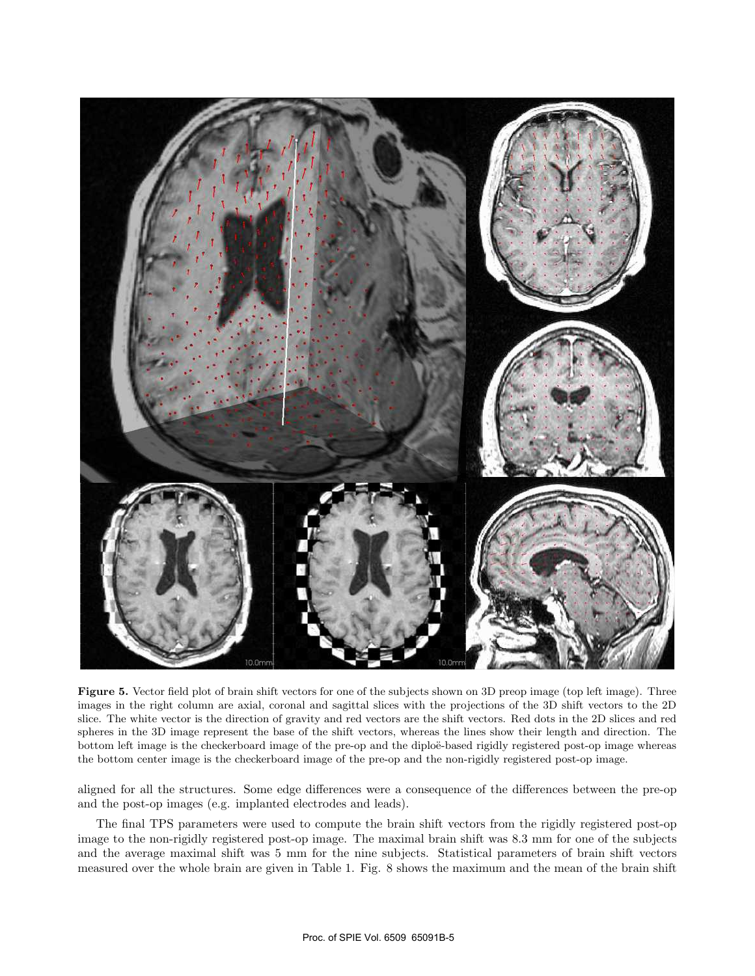

**Figure 5.** Vector field plot of brain shift vectors for one of the subjects shown on 3D preop image (top left image). Three images in the right column are axial, coronal and sagittal slices with the projections of the 3D shift vectors to the 2D slice. The white vector is the direction of gravity and red vectors are the shift vectors. Red dots in the 2D slices and red spheres in the 3D image represent the base of the shift vectors, whereas the lines show their length and direction. The bottom left image is the checkerboard image of the pre-op and the diploë-based rigidly registered post-op image whereas the bottom center image is the checkerboard image of the pre-op and the non-rigidly registered post-op image.

aligned for all the structures. Some edge differences were a consequence of the differences between the pre-op and the post-op images (e.g. implanted electrodes and leads).

The final TPS parameters were used to compute the brain shift vectors from the rigidly registered post-op image to the non-rigidly registered post-op image. The maximal brain shift was 8.3 mm for one of the subjects and the average maximal shift was 5 mm for the nine subjects. Statistical parameters of brain shift vectors measured over the whole brain are given in Table 1. Fig. 8 shows the maximum and the mean of the brain shift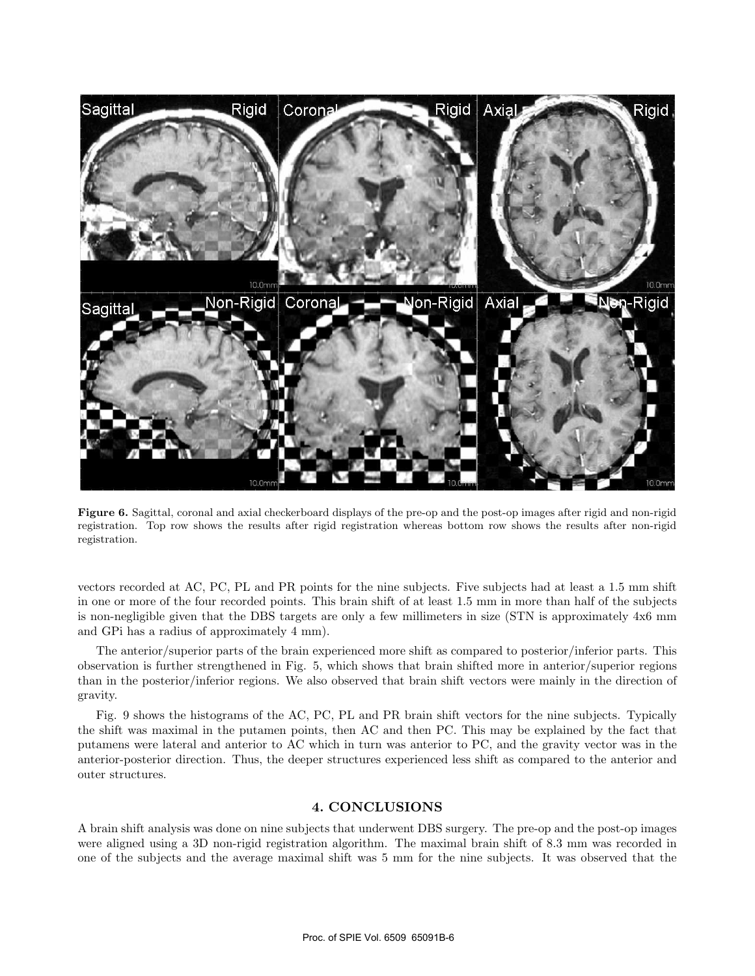

**Figure 6.** Sagittal, coronal and axial checkerboard displays of the pre-op and the post-op images after rigid and non-rigid registration. Top row shows the results after rigid registration whereas bottom row shows the results after non-rigid registration.

vectors recorded at AC, PC, PL and PR points for the nine subjects. Five subjects had at least a 1.5 mm shift in one or more of the four recorded points. This brain shift of at least 1.5 mm in more than half of the subjects is non-negligible given that the DBS targets are only a few millimeters in size (STN is approximately 4x6 mm and GPi has a radius of approximately 4 mm).

The anterior/superior parts of the brain experienced more shift as compared to posterior/inferior parts. This observation is further strengthened in Fig. 5, which shows that brain shifted more in anterior/superior regions than in the posterior/inferior regions. We also observed that brain shift vectors were mainly in the direction of gravity.

Fig. 9 shows the histograms of the AC, PC, PL and PR brain shift vectors for the nine subjects. Typically the shift was maximal in the putamen points, then AC and then PC. This may be explained by the fact that putamens were lateral and anterior to AC which in turn was anterior to PC, and the gravity vector was in the anterior-posterior direction. Thus, the deeper structures experienced less shift as compared to the anterior and outer structures.

#### **4. CONCLUSIONS**

A brain shift analysis was done on nine subjects that underwent DBS surgery. The pre-op and the post-op images were aligned using a 3D non-rigid registration algorithm. The maximal brain shift of 8.3 mm was recorded in one of the subjects and the average maximal shift was 5 mm for the nine subjects. It was observed that the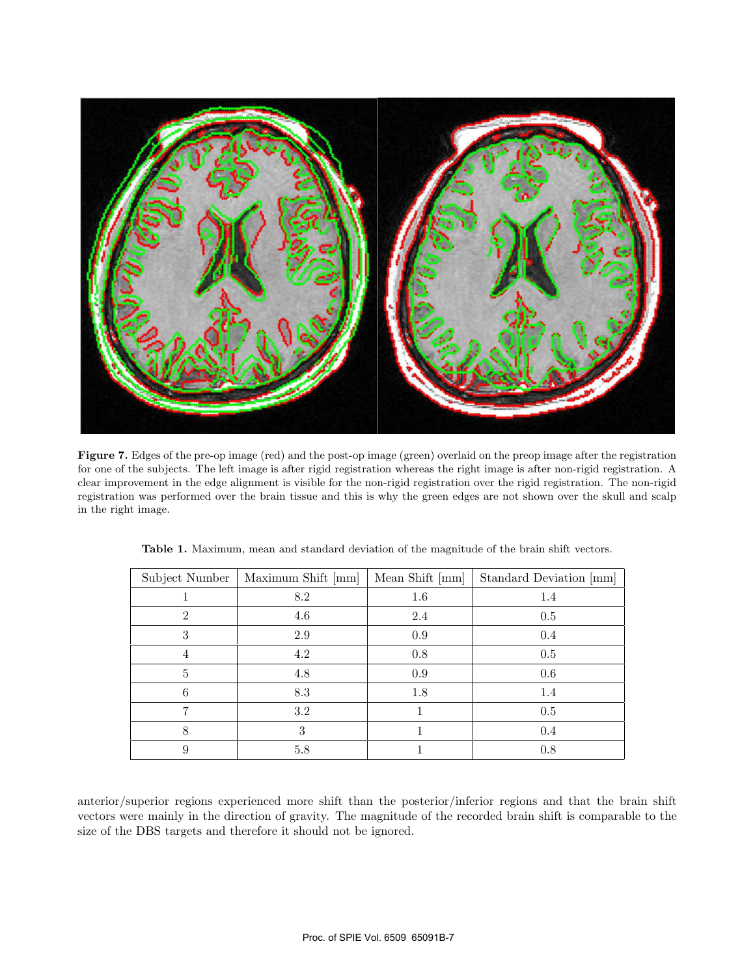

**Figure 7.** Edges of the pre-op image (red) and the post-op image (green) overlaid on the preop image after the registration for one of the subjects. The left image is after rigid registration whereas the right image is after non-rigid registration. A clear improvement in the edge alignment is visible for the non-rigid registration over the rigid registration. The non-rigid registration was performed over the brain tissue and this is why the green edges are not shown over the skull and scalp in the right image.

| Subject Number | Maximum Shift [mm] | Mean Shift [mm] | Standard Deviation [mm] |
|----------------|--------------------|-----------------|-------------------------|
|                | 8.2                | 1.6             | 1.4                     |
| $\overline{2}$ | 4.6                | 2.4             | 0.5                     |
| 3              | 2.9                | 0.9             | 0.4                     |
| 4              | 4.2                | 0.8             | 0.5                     |
| 5              | 4.8                | 0.9             | 0.6                     |
| 6              | 8.3                | 1.8             | 1.4                     |
|                | 3.2                |                 | 0.5                     |
| 8              | 3                  |                 | 0.4                     |
| 9              | 5.8                |                 | 0.8                     |

**Table 1.** Maximum, mean and standard deviation of the magnitude of the brain shift vectors.

anterior/superior regions experienced more shift than the posterior/inferior regions and that the brain shift vectors were mainly in the direction of gravity. The magnitude of the recorded brain shift is comparable to the size of the DBS targets and therefore it should not be ignored.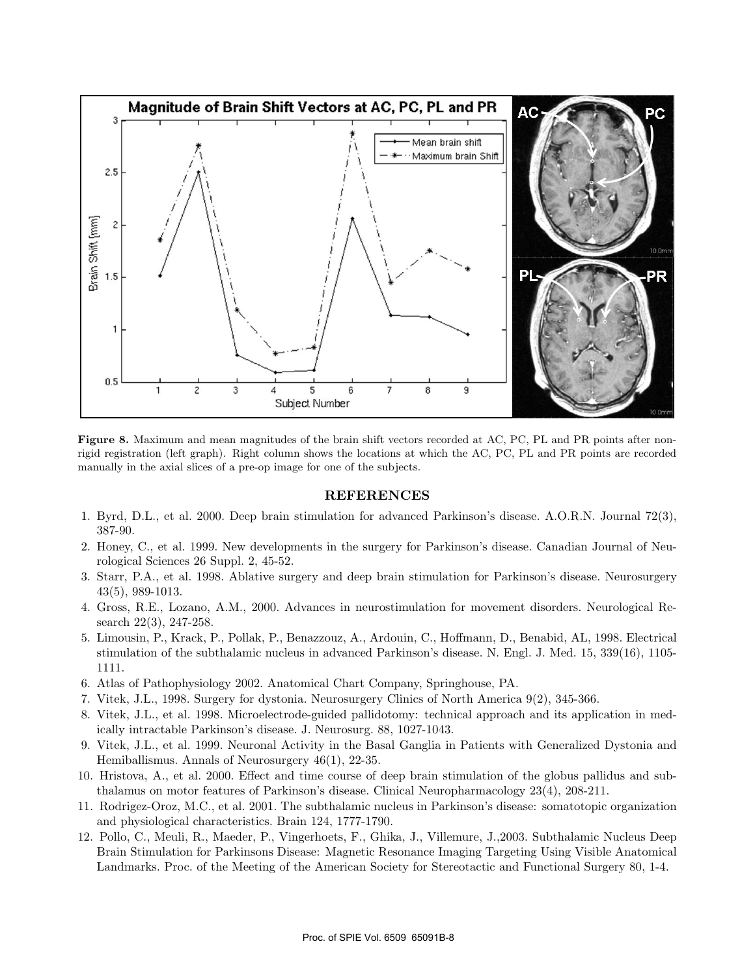

**Figure 8.** Maximum and mean magnitudes of the brain shift vectors recorded at AC, PC, PL and PR points after nonrigid registration (left graph). Right column shows the locations at which the AC, PC, PL and PR points are recorded manually in the axial slices of a pre-op image for one of the subjects.

#### **REFERENCES**

- 1. Byrd, D.L., et al. 2000. Deep brain stimulation for advanced Parkinson's disease. A.O.R.N. Journal 72(3), 387-90.
- 2. Honey, C., et al. 1999. New developments in the surgery for Parkinson's disease. Canadian Journal of Neurological Sciences 26 Suppl. 2, 45-52.
- 3. Starr, P.A., et al. 1998. Ablative surgery and deep brain stimulation for Parkinson's disease. Neurosurgery 43(5), 989-1013.
- 4. Gross, R.E., Lozano, A.M., 2000. Advances in neurostimulation for movement disorders. Neurological Research 22(3), 247-258.
- 5. Limousin, P., Krack, P., Pollak, P., Benazzouz, A., Ardouin, C., Hoffmann, D., Benabid, AL, 1998. Electrical stimulation of the subthalamic nucleus in advanced Parkinson's disease. N. Engl. J. Med. 15, 339(16), 1105- 1111.
- 6. Atlas of Pathophysiology 2002. Anatomical Chart Company, Springhouse, PA.
- 7. Vitek, J.L., 1998. Surgery for dystonia. Neurosurgery Clinics of North America 9(2), 345-366.
- 8. Vitek, J.L., et al. 1998. Microelectrode-guided pallidotomy: technical approach and its application in medically intractable Parkinson's disease. J. Neurosurg. 88, 1027-1043.
- 9. Vitek, J.L., et al. 1999. Neuronal Activity in the Basal Ganglia in Patients with Generalized Dystonia and Hemiballismus. Annals of Neurosurgery 46(1), 22-35.
- 10. Hristova, A., et al. 2000. Effect and time course of deep brain stimulation of the globus pallidus and subthalamus on motor features of Parkinson's disease. Clinical Neuropharmacology 23(4), 208-211.
- 11. Rodrigez-Oroz, M.C., et al. 2001. The subthalamic nucleus in Parkinson's disease: somatotopic organization and physiological characteristics. Brain 124, 1777-1790.
- 12. Pollo, C., Meuli, R., Maeder, P., Vingerhoets, F., Ghika, J., Villemure, J.,2003. Subthalamic Nucleus Deep Brain Stimulation for Parkinsons Disease: Magnetic Resonance Imaging Targeting Using Visible Anatomical Landmarks. Proc. of the Meeting of the American Society for Stereotactic and Functional Surgery 80, 1-4.